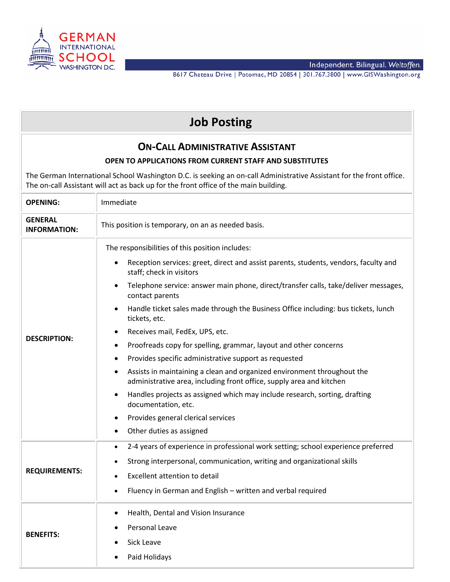

Independent. Bilingual. Weltoffen.<br>8617 Chateau Drive | Potomac, MD 20854 | 301.767.3800 | www.GISWashington.org

| <b>Job Posting</b>                                                                                                                                                                                           |                                                                                                                                                                                                                                                                                                                                                                                                                                                                                                          |  |
|--------------------------------------------------------------------------------------------------------------------------------------------------------------------------------------------------------------|----------------------------------------------------------------------------------------------------------------------------------------------------------------------------------------------------------------------------------------------------------------------------------------------------------------------------------------------------------------------------------------------------------------------------------------------------------------------------------------------------------|--|
| <b>ON-CALL ADMINISTRATIVE ASSISTANT</b><br><b>OPEN TO APPLICATIONS FROM CURRENT STAFF AND SUBSTITUTES</b>                                                                                                    |                                                                                                                                                                                                                                                                                                                                                                                                                                                                                                          |  |
| The German International School Washington D.C. is seeking an on-call Administrative Assistant for the front office.<br>The on-call Assistant will act as back up for the front office of the main building. |                                                                                                                                                                                                                                                                                                                                                                                                                                                                                                          |  |
| <b>OPENING:</b>                                                                                                                                                                                              | Immediate                                                                                                                                                                                                                                                                                                                                                                                                                                                                                                |  |
| <b>GENERAL</b><br><b>INFORMATION:</b>                                                                                                                                                                        | This position is temporary, on an as needed basis.                                                                                                                                                                                                                                                                                                                                                                                                                                                       |  |
| <b>DESCRIPTION:</b>                                                                                                                                                                                          | The responsibilities of this position includes:<br>Reception services: greet, direct and assist parents, students, vendors, faculty and<br>staff; check in visitors                                                                                                                                                                                                                                                                                                                                      |  |
|                                                                                                                                                                                                              | Telephone service: answer main phone, direct/transfer calls, take/deliver messages,<br>contact parents<br>Handle ticket sales made through the Business Office including: bus tickets, lunch<br>tickets, etc.                                                                                                                                                                                                                                                                                            |  |
|                                                                                                                                                                                                              | Receives mail, FedEx, UPS, etc.<br>Proofreads copy for spelling, grammar, layout and other concerns<br>٠<br>Provides specific administrative support as requested<br>$\bullet$<br>Assists in maintaining a clean and organized environment throughout the<br>administrative area, including front office, supply area and kitchen<br>Handles projects as assigned which may include research, sorting, drafting<br>documentation, etc.<br>Provides general clerical services<br>Other duties as assigned |  |
| <b>REQUIREMENTS:</b>                                                                                                                                                                                         | 2-4 years of experience in professional work setting; school experience preferred<br>Strong interpersonal, communication, writing and organizational skills<br>Excellent attention to detail<br>Fluency in German and English - written and verbal required                                                                                                                                                                                                                                              |  |
| <b>BENEFITS:</b>                                                                                                                                                                                             | Health, Dental and Vision Insurance<br>Personal Leave<br>Sick Leave<br>Paid Holidays                                                                                                                                                                                                                                                                                                                                                                                                                     |  |